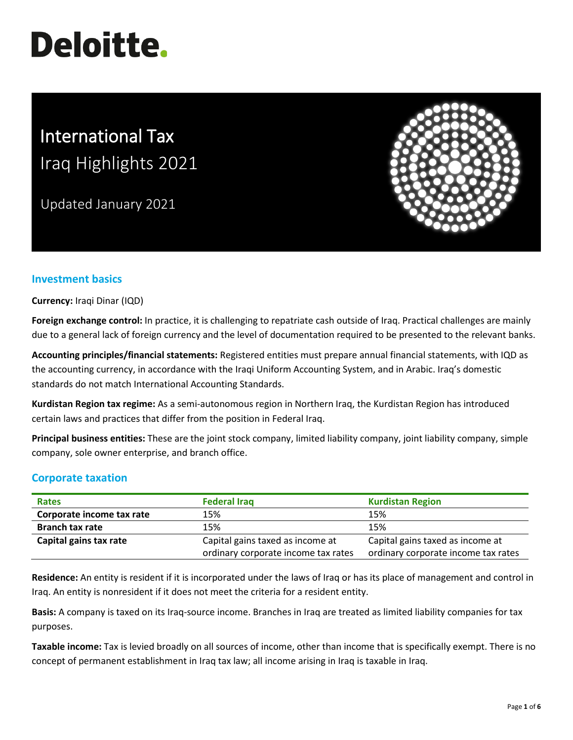# **Deloitte.**

# International Tax Iraq Highlights 2021

Updated January 2021



## **Investment basics**

**Currency:** Iraqi Dinar (IQD)

**Foreign exchange control:** In practice, it is challenging to repatriate cash outside of Iraq. Practical challenges are mainly due to a general lack of foreign currency and the level of documentation required to be presented to the relevant banks.

**Accounting principles/financial statements:** Registered entities must prepare annual financial statements, with IQD as the accounting currency, in accordance with the Iraqi Uniform Accounting System, and in Arabic. Iraq's domestic standards do not match International Accounting Standards.

**Kurdistan Region tax regime:** As a semi-autonomous region in Northern Iraq, the Kurdistan Region has introduced certain laws and practices that differ from the position in Federal Iraq.

**Principal business entities:** These are the joint stock company, limited liability company, joint liability company, simple company, sole owner enterprise, and branch office.

## **Corporate taxation**

| <b>Rates</b>              | <b>Federal Iraq</b>                 | <b>Kurdistan Region</b>             |  |
|---------------------------|-------------------------------------|-------------------------------------|--|
| Corporate income tax rate | 15%                                 | 15%                                 |  |
| <b>Branch tax rate</b>    | 15%                                 | 15%                                 |  |
| Capital gains tax rate    | Capital gains taxed as income at    | Capital gains taxed as income at    |  |
|                           | ordinary corporate income tax rates | ordinary corporate income tax rates |  |

**Residence:** An entity is resident if it is incorporated under the laws of Iraq or has its place of management and control in Iraq. An entity is nonresident if it does not meet the criteria for a resident entity.

**Basis:** A company is taxed on its Iraq-source income. Branches in Iraq are treated as limited liability companies for tax purposes.

**Taxable income:** Tax is levied broadly on all sources of income, other than income that is specifically exempt. There is no concept of permanent establishment in Iraq tax law; all income arising in Iraq is taxable in Iraq.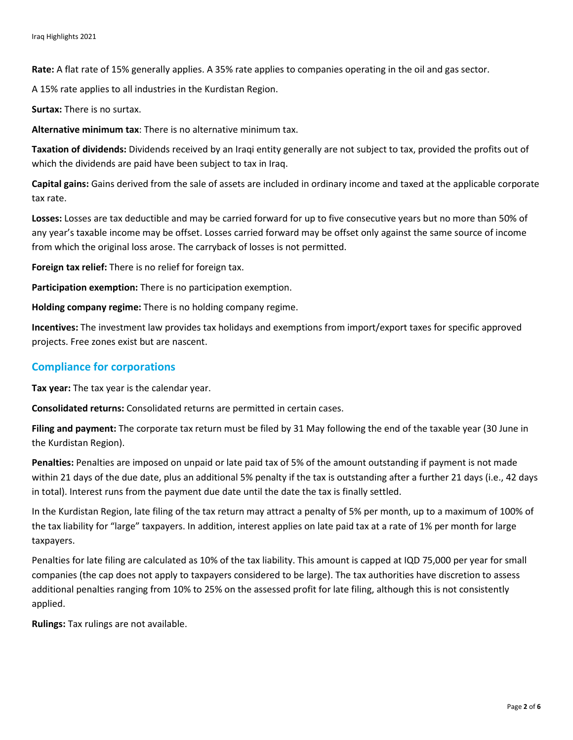**Rate:** A flat rate of 15% generally applies. A 35% rate applies to companies operating in the oil and gas sector.

A 15% rate applies to all industries in the Kurdistan Region.

**Surtax:** There is no surtax.

**Alternative minimum tax**: There is no alternative minimum tax.

**Taxation of dividends:** Dividends received by an Iraqi entity generally are not subject to tax, provided the profits out of which the dividends are paid have been subject to tax in Iraq.

**Capital gains:** Gains derived from the sale of assets are included in ordinary income and taxed at the applicable corporate tax rate.

**Losses:** Losses are tax deductible and may be carried forward for up to five consecutive years but no more than 50% of any year's taxable income may be offset. Losses carried forward may be offset only against the same source of income from which the original loss arose. The carryback of losses is not permitted.

**Foreign tax relief:** There is no relief for foreign tax.

**Participation exemption:** There is no participation exemption.

**Holding company regime:** There is no holding company regime.

**Incentives:** The investment law provides tax holidays and exemptions from import/export taxes for specific approved projects. Free zones exist but are nascent.

#### **Compliance for corporations**

**Tax year:** The tax year is the calendar year.

**Consolidated returns:** Consolidated returns are permitted in certain cases.

**Filing and payment:** The corporate tax return must be filed by 31 May following the end of the taxable year (30 June in the Kurdistan Region).

**Penalties:** Penalties are imposed on unpaid or late paid tax of 5% of the amount outstanding if payment is not made within 21 days of the due date, plus an additional 5% penalty if the tax is outstanding after a further 21 days (i.e., 42 days in total). Interest runs from the payment due date until the date the tax is finally settled.

In the Kurdistan Region, late filing of the tax return may attract a penalty of 5% per month, up to a maximum of 100% of the tax liability for "large" taxpayers. In addition, interest applies on late paid tax at a rate of 1% per month for large taxpayers.

Penalties for late filing are calculated as 10% of the tax liability. This amount is capped at IQD 75,000 per year for small companies (the cap does not apply to taxpayers considered to be large). The tax authorities have discretion to assess additional penalties ranging from 10% to 25% on the assessed profit for late filing, although this is not consistently applied.

**Rulings:** Tax rulings are not available.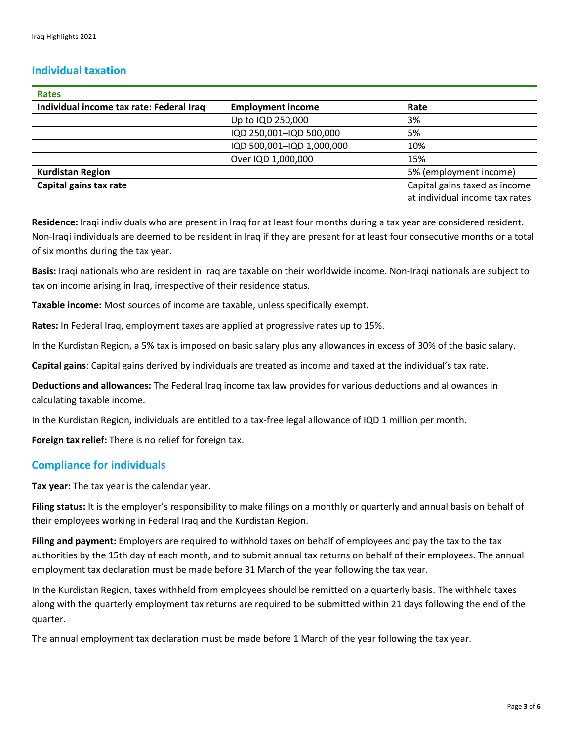#### **Individual taxation**

| <b>Rates</b>                             |                           |                                |  |
|------------------------------------------|---------------------------|--------------------------------|--|
| Individual income tax rate: Federal Iraq | <b>Employment income</b>  | Rate                           |  |
|                                          | Up to IQD 250,000         | 3%                             |  |
|                                          | IQD 250,001-IQD 500,000   | 5%                             |  |
|                                          | IQD 500,001-IQD 1,000,000 | 10%                            |  |
|                                          | Over IQD 1,000,000        | 15%                            |  |
| <b>Kurdistan Region</b>                  |                           | 5% (employment income)         |  |
| Capital gains tax rate                   |                           | Capital gains taxed as income  |  |
|                                          |                           | at individual income tax rates |  |

**Residence:** Iraqi individuals who are present in Iraq for at least four months during a tax year are considered resident. Non-Iraqi individuals are deemed to be resident in Iraq if they are present for at least four consecutive months or a total of six months during the tax year.

**Basis:** Iraqi nationals who are resident in Iraq are taxable on their worldwide income. Non-Iraqi nationals are subject to tax on income arising in Iraq, irrespective of their residence status.

**Taxable income:** Most sources of income are taxable, unless specifically exempt.

**Rates:** In Federal Iraq, employment taxes are applied at progressive rates up to 15%.

In the Kurdistan Region, a 5% tax is imposed on basic salary plus any allowances in excess of 30% of the basic salary.

**Capital gains**: Capital gains derived by individuals are treated as income and taxed at the individual's tax rate.

**Deductions and allowances:** The Federal Iraq income tax law provides for various deductions and allowances in calculating taxable income.

In the Kurdistan Region, individuals are entitled to a tax-free legal allowance of IQD 1 million per month.

**Foreign tax relief:** There is no relief for foreign tax.

#### **Compliance for individuals**

**Tax year:** The tax year is the calendar year.

**Filing status:** It is the employer's responsibility to make filings on a monthly or quarterly and annual basis on behalf of their employees working in Federal Iraq and the Kurdistan Region.

**Filing and payment:** Employers are required to withhold taxes on behalf of employees and pay the tax to the tax authorities by the 15th day of each month, and to submit annual tax returns on behalf of their employees. The annual employment tax declaration must be made before 31 March of the year following the tax year.

In the Kurdistan Region, taxes withheld from employees should be remitted on a quarterly basis. The withheld taxes along with the quarterly employment tax returns are required to be submitted within 21 days following the end of the quarter.

The annual employment tax declaration must be made before 1 March of the year following the tax year.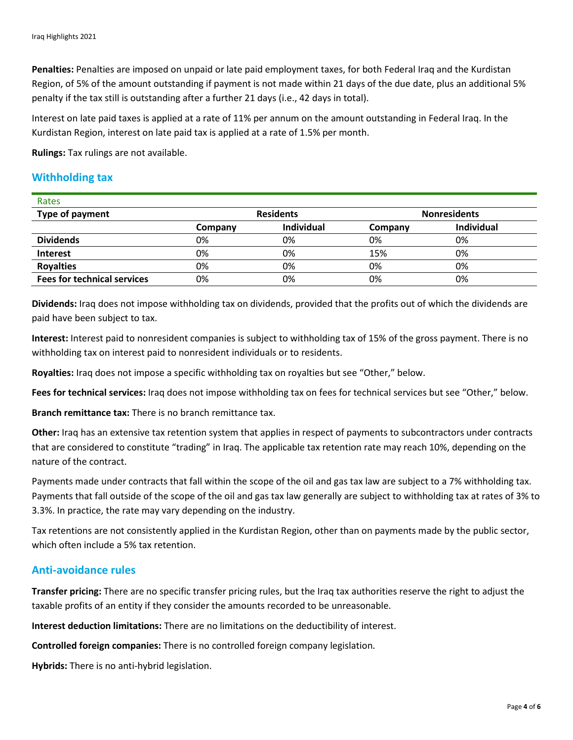**Penalties:** Penalties are imposed on unpaid or late paid employment taxes, for both Federal Iraq and the Kurdistan Region, of 5% of the amount outstanding if payment is not made within 21 days of the due date, plus an additional 5% penalty if the tax still is outstanding after a further 21 days (i.e., 42 days in total).

Interest on late paid taxes is applied at a rate of 11% per annum on the amount outstanding in Federal Iraq. In the Kurdistan Region, interest on late paid tax is applied at a rate of 1.5% per month.

**Rulings:** Tax rulings are not available.

#### **Withholding tax**

| Rates                              |                  |            |                     |            |  |
|------------------------------------|------------------|------------|---------------------|------------|--|
| Type of payment                    | <b>Residents</b> |            | <b>Nonresidents</b> |            |  |
|                                    | Company          | Individual | Company             | Individual |  |
| <b>Dividends</b>                   | 0%               | 0%         | 0%                  | 0%         |  |
| <b>Interest</b>                    | 0%               | 0%         | 15%                 | 0%         |  |
| <b>Royalties</b>                   | 0%               | 0%         | 0%                  | 0%         |  |
| <b>Fees for technical services</b> | 0%               | 0%         | 0%                  | 0%         |  |

**Dividends:** Iraq does not impose withholding tax on dividends, provided that the profits out of which the dividends are paid have been subject to tax.

**Interest:** Interest paid to nonresident companies is subject to withholding tax of 15% of the gross payment. There is no withholding tax on interest paid to nonresident individuals or to residents.

**Royalties:** Iraq does not impose a specific withholding tax on royalties but see "Other," below.

**Fees for technical services:** Iraq does not impose withholding tax on fees for technical services but see "Other," below.

**Branch remittance tax:** There is no branch remittance tax.

**Other:** Iraq has an extensive tax retention system that applies in respect of payments to subcontractors under contracts that are considered to constitute "trading" in Iraq. The applicable tax retention rate may reach 10%, depending on the nature of the contract.

Payments made under contracts that fall within the scope of the oil and gas tax law are subject to a 7% withholding tax. Payments that fall outside of the scope of the oil and gas tax law generally are subject to withholding tax at rates of 3% to 3.3%. In practice, the rate may vary depending on the industry.

Tax retentions are not consistently applied in the Kurdistan Region, other than on payments made by the public sector, which often include a 5% tax retention.

#### **Anti-avoidance rules**

**Transfer pricing:** There are no specific transfer pricing rules, but the Iraq tax authorities reserve the right to adjust the taxable profits of an entity if they consider the amounts recorded to be unreasonable.

**Interest deduction limitations:** There are no limitations on the deductibility of interest.

**Controlled foreign companies:** There is no controlled foreign company legislation.

**Hybrids:** There is no anti-hybrid legislation.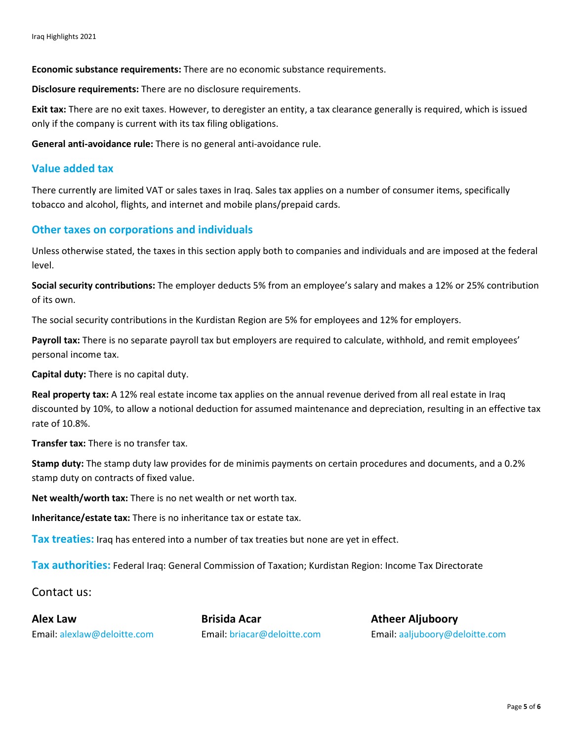**Economic substance requirements:** There are no economic substance requirements.

**Disclosure requirements:** There are no disclosure requirements.

**Exit tax:** There are no exit taxes. However, to deregister an entity, a tax clearance generally is required, which is issued only if the company is current with its tax filing obligations.

**General anti-avoidance rule:** There is no general anti-avoidance rule.

#### **Value added tax**

There currently are limited VAT or sales taxes in Iraq. Sales tax applies on a number of consumer items, specifically tobacco and alcohol, flights, and internet and mobile plans/prepaid cards.

#### **Other taxes on corporations and individuals**

Unless otherwise stated, the taxes in this section apply both to companies and individuals and are imposed at the federal level.

**Social security contributions:** The employer deducts 5% from an employee's salary and makes a 12% or 25% contribution of its own.

The social security contributions in the Kurdistan Region are 5% for employees and 12% for employers.

**Payroll tax:** There is no separate payroll tax but employers are required to calculate, withhold, and remit employees' personal income tax.

**Capital duty:** There is no capital duty.

**Real property tax:** A 12% real estate income tax applies on the annual revenue derived from all real estate in Iraq discounted by 10%, to allow a notional deduction for assumed maintenance and depreciation, resulting in an effective tax rate of 10.8%.

**Transfer tax:** There is no transfer tax.

**Stamp duty:** The stamp duty law provides for de minimis payments on certain procedures and documents, and a 0.2% stamp duty on contracts of fixed value.

**Net wealth/worth tax:** There is no net wealth or net worth tax.

**Inheritance/estate tax:** There is no inheritance tax or estate tax.

**Tax treaties:** Iraq has entered into a number of tax treaties but none are yet in effect.

**Tax authorities:** Federal Iraq: General Commission of Taxation; Kurdistan Region: Income Tax Directorate

Contact us:

**Alex Law Brisida Acar Atheer Aljuboory**

Email: [alexlaw@deloitte.com](mailto:alexlaw@deloitte.com) Email: [briacar@deloitte.com](mailto:briacar@deloitte.com) Email: [aaljuboory@deloitte.com](mailto:aaljuboory@deloitte.com)